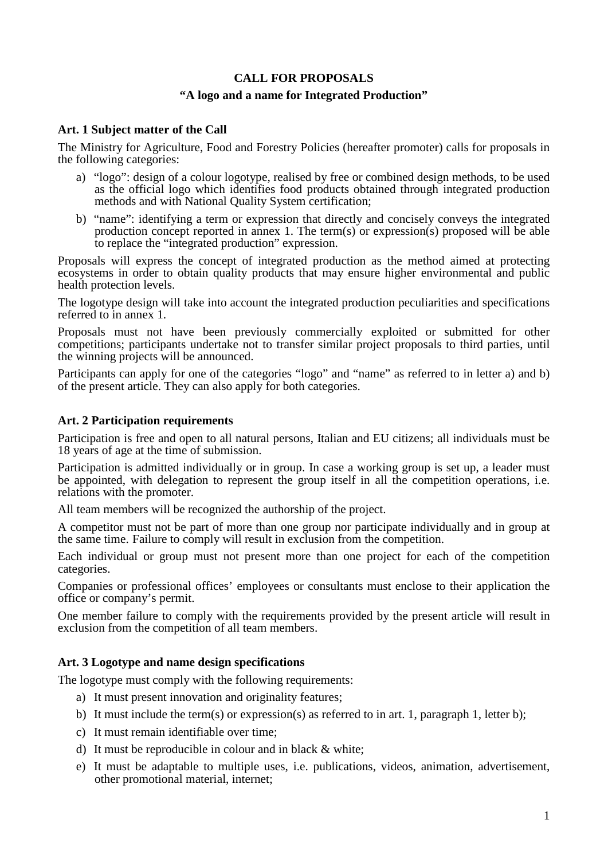## **CALL FOR PROPOSALS**

## **"A logo and a name for Integrated Production"**

### **Art. 1 Subject matter of the Call**

The Ministry for Agriculture, Food and Forestry Policies (hereafter promoter) calls for proposals in the following categories:

- a) "logo": design of a colour logotype, realised by free or combined design methods, to be used as the official logo which identifies food products obtained through integrated production methods and with National Quality System certification;
- b) "name": identifying a term or expression that directly and concisely conveys the integrated production concept reported in annex 1. The term(s) or expression(s) proposed will be able to replace the "integrated production" expression.

Proposals will express the concept of integrated production as the method aimed at protecting ecosystems in order to obtain quality products that may ensure higher environmental and public health protection levels.

The logotype design will take into account the integrated production peculiarities and specifications referred to in annex 1.

Proposals must not have been previously commercially exploited or submitted for other competitions; participants undertake not to transfer similar project proposals to third parties, until the winning projects will be announced.

Participants can apply for one of the categories "logo" and "name" as referred to in letter a) and b) of the present article. They can also apply for both categories.

#### **Art. 2 Participation requirements**

Participation is free and open to all natural persons, Italian and EU citizens; all individuals must be 18 years of age at the time of submission.

Participation is admitted individually or in group. In case a working group is set up, a leader must be appointed, with delegation to represent the group itself in all the competition operations, i.e. relations with the promoter.

All team members will be recognized the authorship of the project.

A competitor must not be part of more than one group nor participate individually and in group at the same time. Failure to comply will result in exclusion from the competition.

Each individual or group must not present more than one project for each of the competition categories.

Companies or professional offices' employees or consultants must enclose to their application the office or company's permit.

One member failure to comply with the requirements provided by the present article will result in exclusion from the competition of all team members.

## **Art. 3 Logotype and name design specifications**

The logotype must comply with the following requirements:

- a) It must present innovation and originality features;
- b) It must include the term(s) or expression(s) as referred to in art. 1, paragraph 1, letter b);
- c) It must remain identifiable over time;
- d) It must be reproducible in colour and in black & white;
- e) It must be adaptable to multiple uses, i.e. publications, videos, animation, advertisement, other promotional material, internet;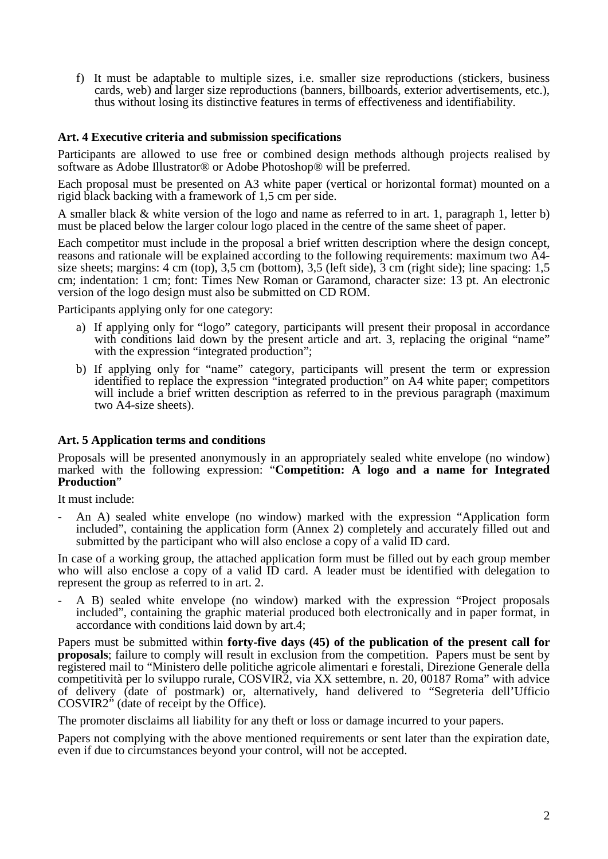f) It must be adaptable to multiple sizes, i.e. smaller size reproductions (stickers, business cards, web) and larger size reproductions (banners, billboards, exterior advertisements, etc.), thus without losing its distinctive features in terms of effectiveness and identifiability.

### **Art. 4 Executive criteria and submission specifications**

Participants are allowed to use free or combined design methods although projects realised by software as Adobe Illustrator® or Adobe Photoshop® will be preferred.

Each proposal must be presented on A3 white paper (vertical or horizontal format) mounted on a rigid black backing with a framework of 1,5 cm per side.

A smaller black & white version of the logo and name as referred to in art. 1, paragraph 1, letter b) must be placed below the larger colour logo placed in the centre of the same sheet of paper.

Each competitor must include in the proposal a brief written description where the design concept, reasons and rationale will be explained according to the following requirements: maximum two A4 size sheets; margins: 4 cm (top), 3,5 cm (bottom), 3,5 (left side),  $\overline{3}$  cm (right side); line spacing: 1,5 cm; indentation: 1 cm; font: Times New Roman or Garamond, character size: 13 pt. An electronic version of the logo design must also be submitted on CD ROM.

Participants applying only for one category:

- a) If applying only for "logo" category, participants will present their proposal in accordance with conditions laid down by the present article and art. 3, replacing the original "name" with the expression "integrated production";
- b) If applying only for "name" category, participants will present the term or expression identified to replace the expression "integrated production" on A4 white paper; competitors will include a brief written description as referred to in the previous paragraph (maximum two A4-size sheets).

#### **Art. 5 Application terms and conditions**

Proposals will be presented anonymously in an appropriately sealed white envelope (no window) marked with the following expression: "**Competition: A logo and a name for Integrated Production**"

It must include:

- An A) sealed white envelope (no window) marked with the expression "Application form included", containing the application form (Annex 2) completely and accurately filled out and submitted by the participant who will also enclose a copy of a valid ID card.

In case of a working group, the attached application form must be filled out by each group member who will also enclose a copy of a valid  $\overline{ID}$  card. A leader must be identified with delegation to represent the group as referred to in art. 2.

- A B) sealed white envelope (no window) marked with the expression "Project proposals included", containing the graphic material produced both electronically and in paper format, in accordance with conditions laid down by art.4;

Papers must be submitted within **forty-five days (45) of the publication of the present call for proposals**; failure to comply will result in exclusion from the competition. Papers must be sent by registered mail to "Ministero delle politiche agricole alimentari e forestali, Direzione Generale della competitività per lo sviluppo rurale, COSVIR2, via XX settembre, n. 20, 00187 Roma" with advice of delivery (date of postmark) or, alternatively, hand delivered to "Segreteria dell'Ufficio COSVIR2" (date of receipt by the Office).

The promoter disclaims all liability for any theft or loss or damage incurred to your papers.

Papers not complying with the above mentioned requirements or sent later than the expiration date, even if due to circumstances beyond your control, will not be accepted.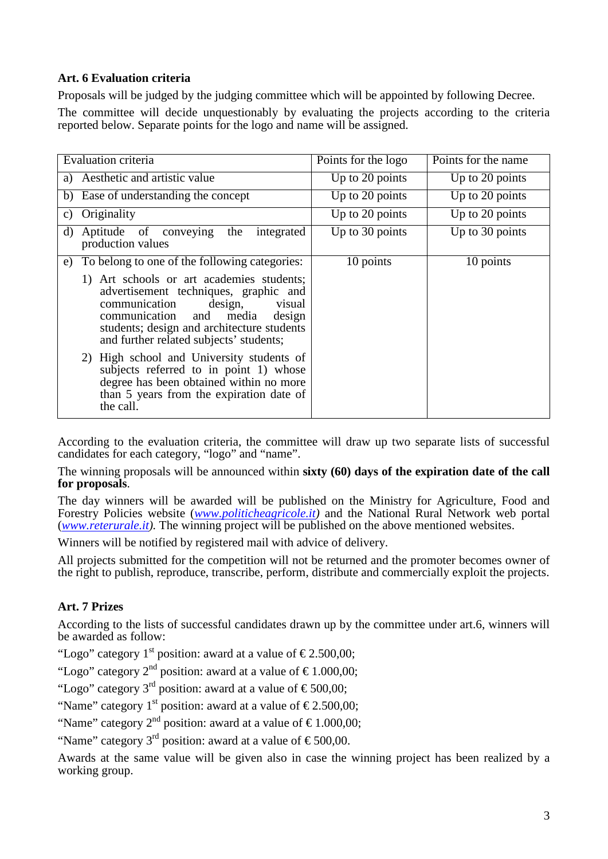## **Art. 6 Evaluation criteria**

Proposals will be judged by the judging committee which will be appointed by following Decree.

The committee will decide unquestionably by evaluating the projects according to the criteria reported below. Separate points for the logo and name will be assigned.

| <b>Evaluation criteria</b>                                                                                                                                                                                                                                | Points for the logo | Points for the name |
|-----------------------------------------------------------------------------------------------------------------------------------------------------------------------------------------------------------------------------------------------------------|---------------------|---------------------|
| Aesthetic and artistic value<br>a)                                                                                                                                                                                                                        | Up to 20 points     | Up to 20 points     |
| b) Ease of understanding the concept                                                                                                                                                                                                                      | Up to 20 points     | Up to 20 points     |
| Originality<br>C)                                                                                                                                                                                                                                         | Up to 20 points     | Up to 20 points     |
| Aptitude of conveying<br>the<br>integrated<br>d)<br>production values                                                                                                                                                                                     | Up to 30 points     | Up to 30 points     |
| To belong to one of the following categories:<br>e)                                                                                                                                                                                                       | 10 points           | 10 points           |
| 1) Art schools or art academies students;<br>advertisement techniques, graphic and<br>design,<br>communication<br>visual<br>communication and<br>media<br>design<br>students; design and architecture students<br>and further related subjects' students; |                     |                     |
| 2) High school and University students of<br>subjects referred to in point 1) whose<br>degree has been obtained within no more<br>than 5 years from the expiration date of<br>the call.                                                                   |                     |                     |

According to the evaluation criteria, the committee will draw up two separate lists of successful candidates for each category, "logo" and "name".

The winning proposals will be announced within **sixty (60) days of the expiration date of the call for proposals**.

The day winners will be awarded will be published on the Ministry for Agriculture, Food and Forestry Policies website (*[www.politicheagricole.it\)](http://www.politicheagricole.it/)* and the National Rural Network web portal (*[www.reterurale.it\)](http://www.reterurale.it/).* The winning project will be published on the above mentioned websites.

Winners will be notified by registered mail with advice of delivery.

All projects submitted for the competition will not be returned and the promoter becomes owner of the right to publish, reproduce, transcribe, perform, distribute and commercially exploit the projects.

## **Art. 7 Prizes**

According to the lists of successful candidates drawn up by the committee under art.6, winners will be awarded as follow:

"Logo" category 1<sup>st</sup> position: award at a value of  $\epsilon$ 2.500,00;

"Logo" category  $2^{nd}$  position: award at a value of  $\text{\textsterling}1.000,00;$ 

"Logo" category 3<sup>rd</sup> position: award at a value of  $\epsilon$ 500,00;

"Name" category 1<sup>st</sup> position: award at a value of  $\epsilon$ 2.500,00;

"Name" category  $2<sup>nd</sup>$  position: award at a value of  $\epsilon$ 1.000,00;

"Name" category 3<sup>rd</sup> position: award at a value of  $\epsilon$ 500,00.

Awards at the same value will be given also in case the winning project has been realized by a working group.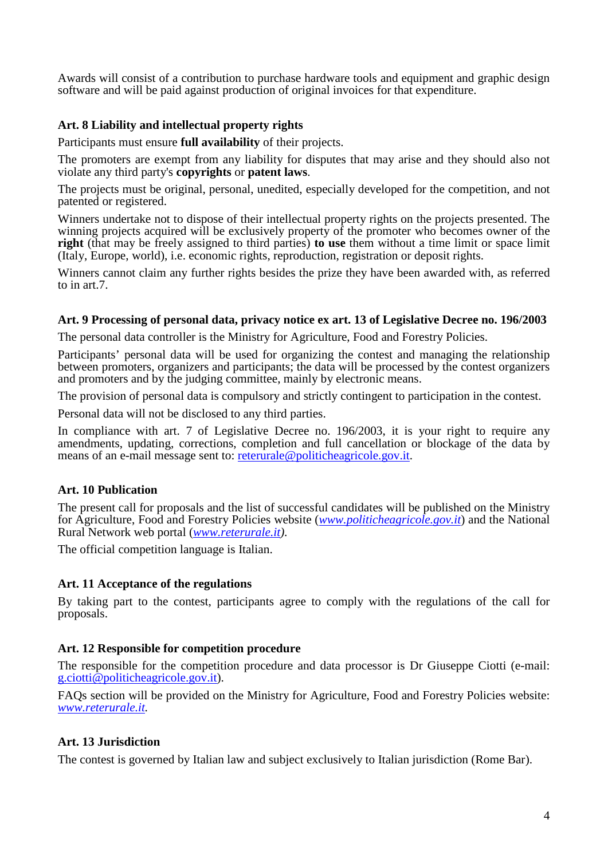Awards will consist of a contribution to purchase hardware tools and equipment and graphic design software and will be paid against production of original invoices for that expenditure.

# **Art. 8 Liability and intellectual property rights**

Participants must ensure **full availability** of their projects.

The promoters are exempt from any liability for disputes that may arise and they should also not violate any third party's **copyrights** or **patent laws**.

The projects must be original, personal, unedited, especially developed for the competition, and not patented or registered.

Winners undertake not to dispose of their intellectual property rights on the projects presented. The winning projects acquired will be exclusively property of the promoter who becomes owner of the **right** (that may be freely assigned to third parties) **to use** them without a time limit or space limit (Italy, Europe, world), i.e. economic rights, reproduction, registration or deposit rights.

Winners cannot claim any further rights besides the prize they have been awarded with, as referred to in art.7.

## **Art. 9 Processing of personal data, privacy notice ex art. 13 of Legislative Decree no. 196/2003**

The personal data controller is the Ministry for Agriculture, Food and Forestry Policies.

Participants' personal data will be used for organizing the contest and managing the relationship between promoters, organizers and participants; the data will be processed by the contest organizers and promoters and by the judging committee, mainly by electronic means.

The provision of personal data is compulsory and strictly contingent to participation in the contest.

Personal data will not be disclosed to any third parties.

In compliance with art. 7 of Legislative Decree no. 196/2003, it is your right to require any amendments, updating, corrections, completion and full cancellation or blockage of the data by means of an e-mail message sent to: [reterurale@politicheagricole.gov.it.](mailto:)

## **Art. 10 Publication**

The present call for proposals and the list of successful candidates will be published on the Ministry for Agriculture, Food and Forestry Policies website (*[www.politicheagricole.gov.it](http://www.politicheagricole.gov.it/)*) and the National Rural Network web portal (*[www.reterurale.it\)](http://www.reterurale.it/)*.

The official competition language is Italian.

## **Art. 11 Acceptance of the regulations**

By taking part to the contest, participants agree to comply with the regulations of the call for proposals.

## **Art. 12 Responsible for competition procedure**

The responsible for the competition procedure and data processor is Dr Giuseppe Ciotti (e-mail: [g.ciotti@politicheagricole.gov.it\)](mailto:g.ciotti@politicheagricole.gov.it).

FAQs section will be provided on the Ministry for Agriculture, Food and Forestry Policies website: *[www.reterurale.it.](http://www.reterurale.it/)*

## **Art. 13 Jurisdiction**

The contest is governed by Italian law and subject exclusively to Italian jurisdiction (Rome Bar).